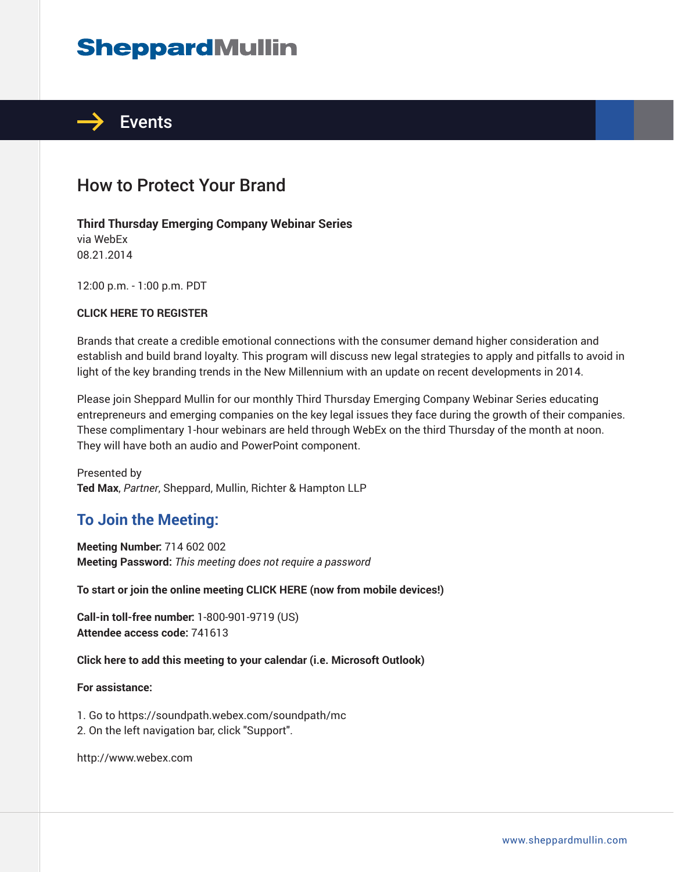# **SheppardMullin**



# How to Protect Your Brand

#### **Third Thursday Emerging Company Webinar Series**

via WebEx 08.21.2014

12:00 p.m. - 1:00 p.m. PDT

#### **CLICK HERE TO REGISTER**

Brands that create a credible emotional connections with the consumer demand higher consideration and establish and build brand loyalty. This program will discuss new legal strategies to apply and pitfalls to avoid in light of the key branding trends in the New Millennium with an update on recent developments in 2014.

Please join Sheppard Mullin for our monthly Third Thursday Emerging Company Webinar Series educating entrepreneurs and emerging companies on the key legal issues they face during the growth of their companies. These complimentary 1-hour webinars are held through WebEx on the third Thursday of the month at noon. They will have both an audio and PowerPoint component.

Presented by **Ted Max**, *Partner*, Sheppard, Mullin, Richter & Hampton LLP

# **To Join the Meeting:**

**Meeting Number:** 714 602 002 **Meeting Password:** *This meeting does not require a password*

**To start or join the online meeting CLICK HERE (now from mobile devices!)**

**Call-in toll-free number:** 1-800-901-9719 (US) **Attendee access code:** 741613

**Click here to add this meeting to your calendar (i.e. Microsoft Outlook)**

#### **For assistance:**

1. Go to https://soundpath.webex.com/soundpath/mc

2. On the left navigation bar, click "Support".

http://www.webex.com